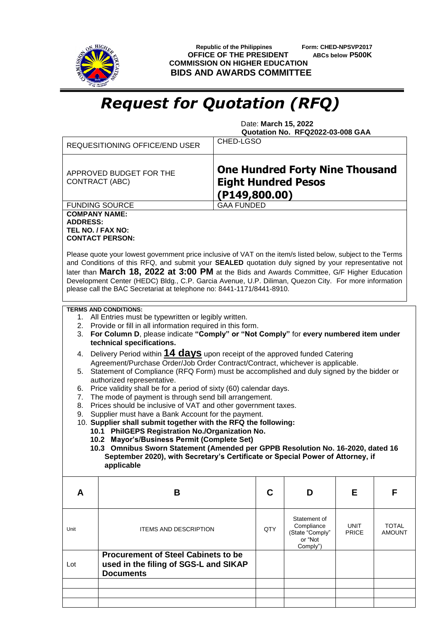

 **Republic of the Philippines Form: CHED-NPSVP2017 OFFICE OF THE PRESIDENT ABCs below P500K COMMISSION ON HIGHER EDUCATION BIDS AND AWARDS COMMITTEE**

## *Request for Quotation (RFQ)*

 Date: **March 15, 2022 Quotation No. RFQ2022-03-008 GAA**

| REQUESITIONING OFFICE/END USER                                                                                                                                                                                                                                                                                                                                                                                                                                                                                                                                                                                                                                                                                                                                                                                                                                                                                                                                                                                                                                                                                                                                              |                                                                                                                                                                                                                                                                                                                                                                                                                                                                                                    | CHED-LGSO                                                                              |     |                                                                      |                      |                               |
|-----------------------------------------------------------------------------------------------------------------------------------------------------------------------------------------------------------------------------------------------------------------------------------------------------------------------------------------------------------------------------------------------------------------------------------------------------------------------------------------------------------------------------------------------------------------------------------------------------------------------------------------------------------------------------------------------------------------------------------------------------------------------------------------------------------------------------------------------------------------------------------------------------------------------------------------------------------------------------------------------------------------------------------------------------------------------------------------------------------------------------------------------------------------------------|----------------------------------------------------------------------------------------------------------------------------------------------------------------------------------------------------------------------------------------------------------------------------------------------------------------------------------------------------------------------------------------------------------------------------------------------------------------------------------------------------|----------------------------------------------------------------------------------------|-----|----------------------------------------------------------------------|----------------------|-------------------------------|
|                                                                                                                                                                                                                                                                                                                                                                                                                                                                                                                                                                                                                                                                                                                                                                                                                                                                                                                                                                                                                                                                                                                                                                             | APPROVED BUDGET FOR THE<br>CONTRACT (ABC)                                                                                                                                                                                                                                                                                                                                                                                                                                                          | <b>One Hundred Forty Nine Thousand</b><br><b>Eight Hundred Pesos</b><br>(P149, 800.00) |     |                                                                      |                      |                               |
|                                                                                                                                                                                                                                                                                                                                                                                                                                                                                                                                                                                                                                                                                                                                                                                                                                                                                                                                                                                                                                                                                                                                                                             | <b>FUNDING SOURCE</b>                                                                                                                                                                                                                                                                                                                                                                                                                                                                              | <b>GAA FUNDED</b>                                                                      |     |                                                                      |                      |                               |
| <b>COMPANY NAME:</b><br><b>ADDRESS:</b><br>TEL NO. / FAX NO:                                                                                                                                                                                                                                                                                                                                                                                                                                                                                                                                                                                                                                                                                                                                                                                                                                                                                                                                                                                                                                                                                                                | <b>CONTACT PERSON:</b>                                                                                                                                                                                                                                                                                                                                                                                                                                                                             |                                                                                        |     |                                                                      |                      |                               |
|                                                                                                                                                                                                                                                                                                                                                                                                                                                                                                                                                                                                                                                                                                                                                                                                                                                                                                                                                                                                                                                                                                                                                                             | Please quote your lowest government price inclusive of VAT on the item/s listed below, subject to the Terms<br>and Conditions of this RFQ, and submit your SEALED quotation duly signed by your representative not<br>later than March 18, 2022 at 3:00 PM at the Bids and Awards Committee, G/F Higher Education<br>Development Center (HEDC) Bldg., C.P. Garcia Avenue, U.P. Diliman, Quezon City. For more information<br>please call the BAC Secretariat at telephone no: 8441-1171/8441-8910. |                                                                                        |     |                                                                      |                      |                               |
|                                                                                                                                                                                                                                                                                                                                                                                                                                                                                                                                                                                                                                                                                                                                                                                                                                                                                                                                                                                                                                                                                                                                                                             | <b>TERMS AND CONDITIONS:</b>                                                                                                                                                                                                                                                                                                                                                                                                                                                                       |                                                                                        |     |                                                                      |                      |                               |
| 1. All Entries must be typewritten or legibly written.<br>2. Provide or fill in all information required in this form.<br>For Column D, please indicate "Comply" or "Not Comply" for every numbered item under<br>3.<br>technical specifications.<br>Delivery Period within 14 days upon receipt of the approved funded Catering<br>4.<br>Agreement/Purchase Order/Job Order Contract/Contract, whichever is applicable.<br>5. Statement of Compliance (RFQ Form) must be accomplished and duly signed by the bidder or<br>authorized representative.<br>Price validity shall be for a period of sixty (60) calendar days.<br>6.<br>The mode of payment is through send bill arrangement.<br>7.<br>Prices should be inclusive of VAT and other government taxes.<br>8.<br>Supplier must have a Bank Account for the payment.<br>9.<br>10. Supplier shall submit together with the RFQ the following:<br>10.1 PhilGEPS Registration No./Organization No.<br>10.2 Mayor's/Business Permit (Complete Set)<br>10.3 Omnibus Sworn Statement (Amended per GPPB Resolution No. 16-2020, dated 16<br>September 2020), with Secretary's Certificate or Special Power of Attorney, if |                                                                                                                                                                                                                                                                                                                                                                                                                                                                                                    |                                                                                        |     |                                                                      |                      |                               |
|                                                                                                                                                                                                                                                                                                                                                                                                                                                                                                                                                                                                                                                                                                                                                                                                                                                                                                                                                                                                                                                                                                                                                                             | applicable                                                                                                                                                                                                                                                                                                                                                                                                                                                                                         |                                                                                        |     |                                                                      |                      |                               |
| A                                                                                                                                                                                                                                                                                                                                                                                                                                                                                                                                                                                                                                                                                                                                                                                                                                                                                                                                                                                                                                                                                                                                                                           | B                                                                                                                                                                                                                                                                                                                                                                                                                                                                                                  |                                                                                        | C   | D                                                                    | Е                    | F                             |
| Unit                                                                                                                                                                                                                                                                                                                                                                                                                                                                                                                                                                                                                                                                                                                                                                                                                                                                                                                                                                                                                                                                                                                                                                        | <b>ITEMS AND DESCRIPTION</b>                                                                                                                                                                                                                                                                                                                                                                                                                                                                       |                                                                                        | QTY | Statement of<br>Compliance<br>(State "Comply"<br>or "Not<br>Comply") | UNIT<br><b>PRICE</b> | <b>TOTAL</b><br><b>AMOUNT</b> |
| Lot                                                                                                                                                                                                                                                                                                                                                                                                                                                                                                                                                                                                                                                                                                                                                                                                                                                                                                                                                                                                                                                                                                                                                                         | <b>Procurement of Steel Cabinets to be</b><br>used in the filing of SGS-L and SIKAP<br><b>Documents</b>                                                                                                                                                                                                                                                                                                                                                                                            |                                                                                        |     |                                                                      |                      |                               |
|                                                                                                                                                                                                                                                                                                                                                                                                                                                                                                                                                                                                                                                                                                                                                                                                                                                                                                                                                                                                                                                                                                                                                                             |                                                                                                                                                                                                                                                                                                                                                                                                                                                                                                    |                                                                                        |     |                                                                      |                      |                               |
|                                                                                                                                                                                                                                                                                                                                                                                                                                                                                                                                                                                                                                                                                                                                                                                                                                                                                                                                                                                                                                                                                                                                                                             |                                                                                                                                                                                                                                                                                                                                                                                                                                                                                                    |                                                                                        |     |                                                                      |                      |                               |
|                                                                                                                                                                                                                                                                                                                                                                                                                                                                                                                                                                                                                                                                                                                                                                                                                                                                                                                                                                                                                                                                                                                                                                             |                                                                                                                                                                                                                                                                                                                                                                                                                                                                                                    |                                                                                        |     |                                                                      |                      |                               |